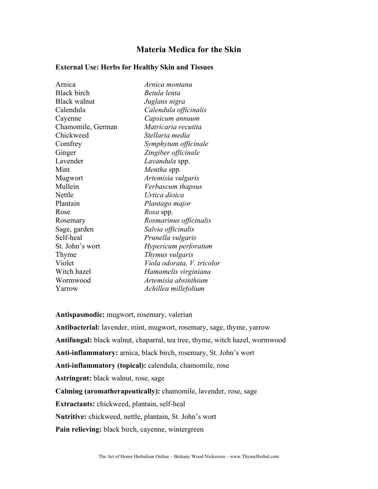## **Materia Medica for the Skin**

## **External Use: Herbs for Healthy Skin and Tissues**

| Arnica              | Arnica montana             |
|---------------------|----------------------------|
| <b>Black birch</b>  | Betula lenta               |
| <b>Black walnut</b> | Juglans nigra              |
| Calendula           | Calendula officinalis      |
| Cayenne             | Capsicum annuum            |
| Chamomile, German   | Matricaria recutita        |
| Chickweed           | Stellaria media            |
| Comfrey             | Symphytum officinale       |
| Ginger              | Zingiber officinale        |
| Lavender            | Lavandula spp.             |
| Mint                | Mentha spp.                |
| Mugwort             | Artemisia vulgaris         |
| Mullein             | Verbascum thapsus          |
| Nettle              | Urtica dioica              |
| Plantain            | Plantago major             |
| Rose                | <i>Rosa</i> spp.           |
| Rosemary            | Rosmarinus officinalis     |
| Sage, garden        | Salvia officinalis         |
| Self-heal           | Prunella vulgaris          |
| St. John's wort     | Hypericum perforatum       |
| Thyme               | Thymus vulgaris            |
| Violet              | Viola odorata, V. tricolor |
| Witch hazel         | Hamamelis virginiana       |
| Wormwood            | Artemisia absinthium       |
| Yarrow              | Achillea millefolium       |

**Antispasmodic:** mugwort, rosemary, valerian

**Antibacterial:** lavender, mint, mugwort, rosemary, sage, thyme, yarrow **Antifungal:** black walnut, chaparral, tea tree, thyme, witch hazel, wormwood **Anti-inflammatory:** arnica, black birch, rosemary, St. John's wort **Anti-inflammatory (topical):** calendula, chamomile, rose **Astringent:** black walnut, rose, sage **Calming (aromatherapeutically):** chamomile, lavender, rose, sage **Extractants:** chickweed, plantain, self-heal **Nutritive:** chickweed, nettle, plantain, St. John's wort **Pain relieving:** black birch, cayenne, wintergreen